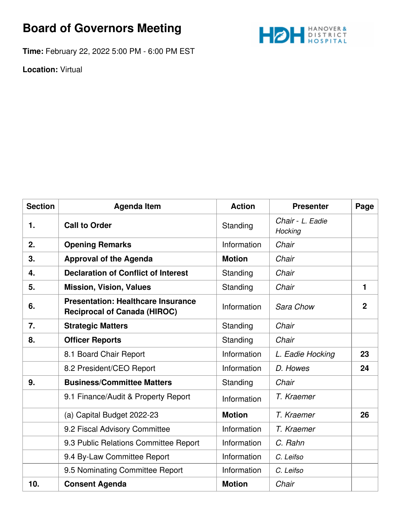## **Board of Governors Meeting**



**Time:** February 22, 2022 5:00 PM - 6:00 PM EST

**Location:** Virtual

| <b>Section</b> | <b>Agenda Item</b>                                                               | <b>Action</b> | <b>Presenter</b>            | Page           |
|----------------|----------------------------------------------------------------------------------|---------------|-----------------------------|----------------|
| 1.             | <b>Call to Order</b>                                                             | Standing      | Chair - L. Eadie<br>Hocking |                |
| 2.             | <b>Opening Remarks</b>                                                           | Information   | Chair                       |                |
| 3.             | <b>Approval of the Agenda</b>                                                    | <b>Motion</b> | Chair                       |                |
| 4.             | <b>Declaration of Conflict of Interest</b>                                       | Standing      | Chair                       |                |
| 5.             | <b>Mission, Vision, Values</b>                                                   | Standing      | Chair                       | $\mathbf{1}$   |
| 6.             | <b>Presentation: Healthcare Insurance</b><br><b>Reciprocal of Canada (HIROC)</b> | Information   | Sara Chow                   | $\overline{2}$ |
| 7.             | <b>Strategic Matters</b>                                                         | Standing      | Chair                       |                |
| 8.             | <b>Officer Reports</b>                                                           | Standing      | Chair                       |                |
|                | 8.1 Board Chair Report                                                           | Information   | L. Eadie Hocking            | 23             |
|                | 8.2 President/CEO Report                                                         | Information   | D. Howes                    | 24             |
| 9.             | <b>Business/Committee Matters</b>                                                | Standing      | Chair                       |                |
|                | 9.1 Finance/Audit & Property Report                                              | Information   | T. Kraemer                  |                |
|                | (a) Capital Budget 2022-23                                                       | <b>Motion</b> | T. Kraemer                  | 26             |
|                | 9.2 Fiscal Advisory Committee                                                    | Information   | T. Kraemer                  |                |
|                | 9.3 Public Relations Committee Report                                            | Information   | C. Rahn                     |                |
|                | 9.4 By-Law Committee Report                                                      | Information   | C. Leifso                   |                |
|                | 9.5 Nominating Committee Report                                                  | Information   | C. Leifso                   |                |
| 10.            | <b>Consent Agenda</b>                                                            | <b>Motion</b> | Chair                       |                |